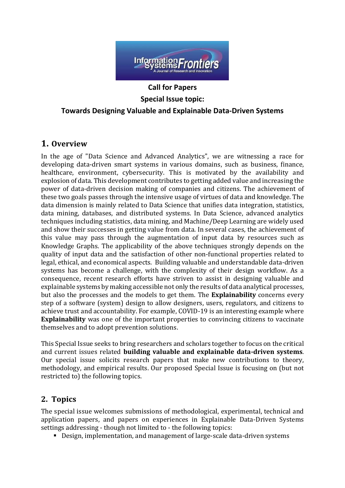

# **Call for Papers Special Issue topic: Towards Designing Valuable and Explainable Data-Driven Systems**

## **1. Overview**

In the age of "Data Science and Advanced Analytics", we are witnessing a race for developing data-driven smart systems in various domains, such as business, finance, healthcare, environment, cybersecurity. This is motivated by the availability and explosion of data. This development contributes to getting added value and increasing the power of data-driven decision making of companies and citizens. The achievement of these two goals passes through the intensive usage of virtues of data and knowledge. The data dimension is mainly related to Data Science that unifies data integration, statistics, data mining, databases, and distributed systems. In Data Science, advanced analytics techniques including statistics, data mining, and Machine/Deep Learning are widely used and show their successes in getting value from data. In several cases, the achievement of this value may pass through the augmentation of input data by resources such as Knowledge Graphs. The applicability of the above techniques strongly depends on the quality of input data and the satisfaction of other non-functional properties related to legal, ethical, and economical aspects. Building valuable and understandable data-driven systems has become a challenge, with the complexity of their design workflow. As a consequence, recent research efforts have striven to assist in designing valuable and explainable systemsby making accessible not only the results of data analytical processes, but also the processes and the models to get them. The **Explainability** concerns every step of a software (system) design to allow designers, users, regulators, and citizens to achieve trust and accountability. For example, COVID-19 is an interesting example where **Explainability** was one of the important properties to convincing citizens to vaccinate themselves and to adopt prevention solutions.

This Special Issue seeks to bring researchers and scholars together to focus on the critical and current issues related **building valuable and explainable data-driven systems**. Our special issue solicits research papers that make new contributions to theory, methodology, and empirical results. Our proposed Special Issue is focusing on (but not restricted to) the following topics.

### **2. Topics**

The special issue welcomes submissions of methodological, experimental, technical and application papers, and papers on experiences in Explainable Data-Driven Systems settings addressing - though not limited to - the following topics:

▪ Design, implementation, and management of large-scale data-driven systems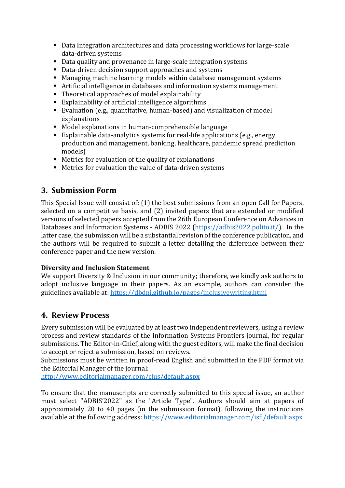- Data Integration architectures and data processing workflows for large-scale data-driven systems
- Data quality and provenance in large-scale integration systems
- Data-driven decision support approaches and systems
- Managing machine learning models within database management systems
- Artificial intelligence in databases and information systems management
- Theoretical approaches of model explainability
- Explainability of artificial intelligence algorithms
- Evaluation (e.g., quantitative, human-based) and visualization of model explanations
- Model explanations in human-comprehensible language
- Explainable data-analytics systems for real-life applications (e.g., energy production and management, banking, healthcare, pandemic spread prediction models)
- Metrics for evaluation of the quality of explanations
- Metrics for evaluation the value of data-driven systems

## **3. Submission Form**

This Special Issue will consist of: (1) the best submissions from an open Call for Papers, selected on a competitive basis, and (2) invited papers that are extended or modified versions of selected papers accepted from the 26th European Conference on Advances in Databases and Information Systems - ADBIS 2022 [\(https://adbis2022.polito.it/\)](https://adbis2022.polito.it/). In the latter case, the submission will be a substantial revision of the conference publication, and the authors will be required to submit a letter detailing the difference between their conference paper and the new version.

#### **Diversity and Inclusion Statement**

We support Diversity & Inclusion in our community; therefore, we kindly ask authors to adopt inclusive language in their papers. As an example, authors can consider the guidelines available at: <https://dbdni.github.io/pages/inclusivewriting.html>

### **4. Review Process**

Every submission will be evaluated by at least two independent reviewers, using a review process and review standards of the Information Systems Frontiers journal, for regular submissions. The Editor-in-Chief, along with the guest editors, will make the final decision to accept or reject a submission, based on reviews.

Submissions must be written in proof-read English and submitted in the PDF format via the Editorial Manager of the journal:

<http://www.editorialmanager.com/clus/default.aspx>

To ensure that the manuscripts are correctly submitted to this special issue, an author must select "ADBIS'2022" as the "Article Type". Authors should aim at papers of approximately 20 to 40 pages (in the submission format), following the instructions available at the following address:<https://www.editorialmanager.com/isfi/default.aspx>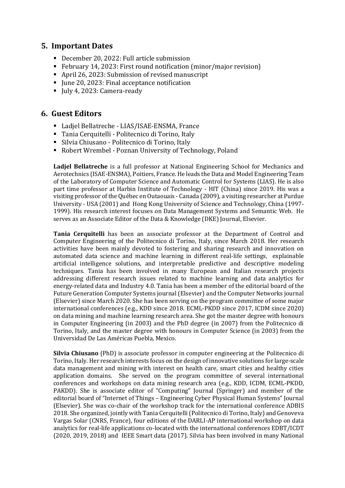### **5. Important Dates**

- December 20, 2022: Full article submission
- February 14, 2023: First round notification (minor/major revision)
- April 26, 2023: Submission of revised manuscript
- June 20, 2023: Final acceptance notification
- July 4, 2023: Camera-ready

#### **6. Guest Editors**

- Ladjel Bellatreche LIAS/ISAE-ENSMA, France
- Tania Cerquitelli Politecnico di Torino, Italy
- Silvia Chiusano Politecnico di Torino, Italy
- Robert Wrembel Poznan University of Technology, Poland

**Ladjel Bellatreche** is a full professor at National Engineering School for Mechanics and Aerotechnics (ISAE-ENSMA), Poitiers, France. He leads the Data and Model Engineering Team of the Laboratory of Computer Science and Automatic Control for Systems (LIAS). He is also part time professor at Harbin Institute of Technology - HIT (China) since 2019. His was a visiting professor of the Québec en Outaouais - Canada (2009), a visiting researcher at Purdue University - USA (2001) and Hong Kong University of Science and Technology, China (1997- 1999). His research interest focuses on Data Management Systems and Semantic Web. He serves as an Associate Editor of the Data & Knowledge (DKE) Journal, Elsevier.

**Tania Cerquitelli** has been an associate professor at the Department of Control and Computer Engineering of the Politecnico di Torino, Italy, since March 2018. Her research activities have been mainly devoted to fostering and sharing research and innovation on automated data science and machine learning in different real-life settings, explainable artificial intelligence solutions, and interpretable predictive and descriptive modeling techniques. Tania has been involved in many European and Italian research projects addressing different research issues related to machine learning and data analytics for energy-related data and Industry 4.0. Tania has been a member of the editorial board of the Future Generation Computer Systems journal (Elsevier) and the Computer Networks journal (Elsevier) since March 2020. She has been serving on the program committee of some major international conferences (e.g., KDD since 2018. ECML-PKDD since 2017, ICDM since 2020) on data mining and machine learning research area. She got the master degree with honours in Computer Engineering (in 2003) and the PhD degree (in 2007) from the Politecnico di Torino, Italy, and the master degree with honours in Computer Science (in 2003) from the Universidad De Las Américas Puebla, Mexico.

**Silvia Chiusano** (PhD) is associate professor in computer engineering at the Politecnico di Torino, Italy. Her research interests focus on the design of innovative solutions for large-scale data management and mining with interest on health care, smart cities and healthy cities application domains. She served on the program committee of several international conferences and workshops on data mining research area (e.g., KDD, ICDM, ECML-PKDD, PAKDD). She is associate editor of "Computing" Journal (Springer) and member of the editorial board of "Internet of Things – Engineering Cyber Physical Human Systems" Journal (Elsevier). She was co-chair of the workshop track for the international conference ADBIS 2018. She organized, jointly with Tania Cerquitelli (Politecnico di Torino, Italy) and Genoveva Vargas Solar (CNRS, France), four editions of the DARLI-AP international workshop on data analytics for real-life applications co-located with the international conferences EDBT/ICDT (2020, 2019, 2018) and IEEE Smart data (2017). Silvia has been involved in many National